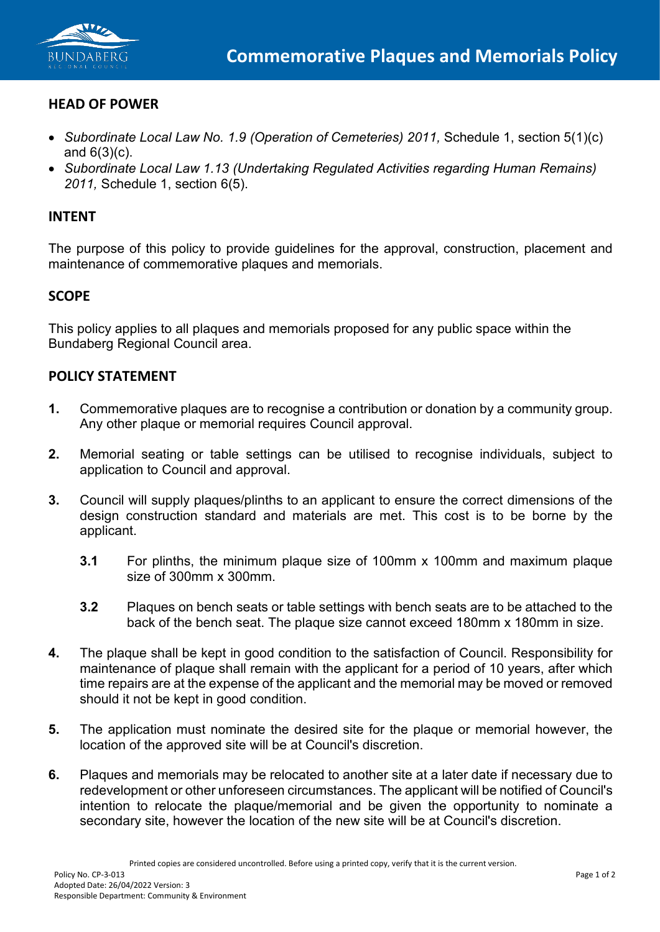

# **HEAD OF POWER**

- *Subordinate Local Law No. 1.9 (Operation of Cemeteries) 2011, Schedule 1, section 5(1)(c)* and  $6(3)(c)$ .
- *Subordinate Local Law 1.13 (Undertaking Regulated Activities regarding Human Remains) 2011,* Schedule 1, section 6(5).

## **INTENT**

The purpose of this policy to provide guidelines for the approval, construction, placement and maintenance of commemorative plaques and memorials.

## **SCOPE**

This policy applies to all plaques and memorials proposed for any public space within the Bundaberg Regional Council area.

#### **POLICY STATEMENT**

- **1.** Commemorative plaques are to recognise a contribution or donation by a community group. Any other plaque or memorial requires Council approval.
- **2.** Memorial seating or table settings can be utilised to recognise individuals, subject to application to Council and approval.
- **3.** Council will supply plaques/plinths to an applicant to ensure the correct dimensions of the design construction standard and materials are met. This cost is to be borne by the applicant.
	- **3.1** For plinths, the minimum plaque size of 100mm x 100mm and maximum plaque size of 300mm x 300mm.
	- **3.2** Plaques on bench seats or table settings with bench seats are to be attached to the back of the bench seat. The plaque size cannot exceed 180mm x 180mm in size.
- **4.** The plaque shall be kept in good condition to the satisfaction of Council. Responsibility for maintenance of plaque shall remain with the applicant for a period of 10 years, after which time repairs are at the expense of the applicant and the memorial may be moved or removed should it not be kept in good condition.
- **5.** The application must nominate the desired site for the plaque or memorial however, the location of the approved site will be at Council's discretion.
- **6.** Plaques and memorials may be relocated to another site at a later date if necessary due to redevelopment or other unforeseen circumstances. The applicant will be notified of Council's intention to relocate the plaque/memorial and be given the opportunity to nominate a secondary site, however the location of the new site will be at Council's discretion.